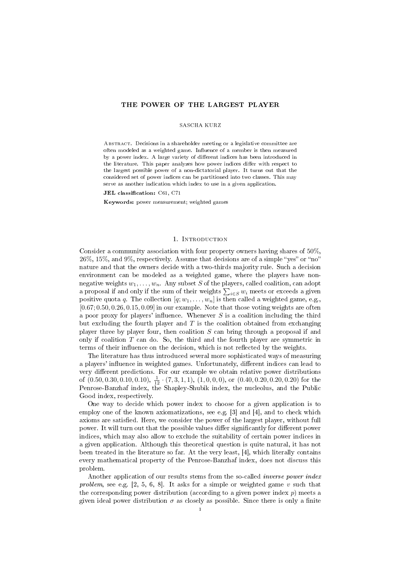# THE POWER OF THE LARGEST PLAYER

### SASCHA KURZ

ABSTRACT. Decisions in a shareholder meeting or a legislative committee are often modeled as a weighted game. Influence of a member is then measured by a power index. A large variety of different indices has been introduced in the literature. This paper analyzes how power indices differ with respect to the largest possible power of a non-dictatorial player. It turns out that the considered set of power indices can be partitioned into two classes. This may serve as another indication which index to use in a given application.

 $JEL$  classification:  $C61$ ,  $C71$ 

Keywords: power measurement; weighted games

## 1. INTRODUCTION

Consider a community association with four property owners having shares of 50%,  $26\%, 15\%, \text{ and } 9\%, \text{ respectively.}$  Assume that decisions are of a simple "yes" or "no" nature and that the owners decide with a two-thirds majority rule. Such a decision environment can be modeled as a weighted game, where the players have nonnegative weights  $w_1, \ldots, w_n$ . Any subset S of the players, called coalition, can adopt a proposal if and only if the sum of their weights  $\sum_{i \in S} w_i$  meets or exceeds a given positive quota q. The collection  $[q; w_1, \ldots, w_n]$  is then called a weighted game, e.g.,  $[0.67; 0.50, 0.26, 0.15, 0.09]$  in our example. Note that those voting weights are often a poor proxy for players' influence. Whenever  $S$  is a coalition including the third but excluding the fourth player and  $T$  is the coalition obtained from exchanging player three by player four, then coalition S can bring through a proposal if and only if coalition  $T$  can do. So, the third and the fourth player are symmetric in terms of their influence on the decision, which is not reflected by the weights.

The literature has thus introduced several more sophisticated ways of measuring a players' influence in weighted games. Unfortunately, different indices can lead to very different predictions. For our example we obtain relative power distributions of  $(0.50, 0.30, 0.10, 0.10), \frac{1}{12} \cdot (7, 3, 1, 1), (1, 0, 0, 0),$  or  $(0.40, 0.20, 0.20, 0.20)$  for the Penrose-Banzhaf index, the Shapley-Shubik index, the nucleolus, and the Public Good index, respectively.

One way to decide which power index to choose for a given application is to employ one of the known axiomatizations, see e.g. [3] and [4], and to check which axioms are satised. Here, we consider the power of the largest player, without full power. It will turn out that the possible values differ significantly for different power indices, which may also allow to exclude the suitability of certain power indices in a given application. Although this theoretical question is quite natural, it has not been treated in the literature so far. At the very least, [4], which literally contains every mathematical property of the Penrose-Banzhaf index, does not discuss this problem.

Another application of our results stems from the so-called *inverse power index* problem, see e.g.  $[2, 5, 6, 8]$ . It asks for a simple or weighted game v such that the corresponding power distribution (according to a given power index  $p$ ) meets a given ideal power distribution  $\sigma$  as closely as possible. Since there is only a finite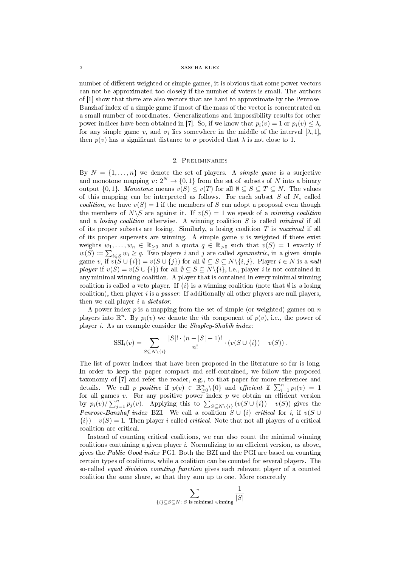### 2 SASCHA KURZ

number of different weighted or simple games, it is obvious that some power vectors can not be approximated too closely if the number of voters is small. The authors of [1] show that there are also vectors that are hard to approximate by the Penrose-Banzhaf index of a simple game if most of the mass of the vector is concentrated on a small number of coordinates. Generalizations and impossibility results for other power indices have been obtained in [7]. So, if we know that  $p_i(v) = 1$  or  $p_i(v) \leq \lambda$ , for any simple game  $v,$  and  $\sigma_i$  lies somewhere in the middle of the interval  $[\lambda,1],$ then  $p(v)$  has a significant distance to  $\sigma$  provided that  $\lambda$  is not close to 1.

# 2. Preliminaries

By  $N = \{1, \ldots, n\}$  we denote the set of players. A simple game is a surjective and monotone mapping  $v: 2^N \to \{0, 1\}$  from the set of subsets of N into a binary output  $\{0, 1\}$ . Monotone means  $v(S) \le v(T)$  for all  $\emptyset \subseteq S \subseteq T \subseteq N$ . The values of this mapping can be interpreted as follows. For each subset  $S$  of  $N$ , called *coalition*, we have  $v(S) = 1$  if the members of S can adopt a proposal even though the members of  $N\backslash S$  are against it. If  $v(S) = 1$  we speak of a winning coalition and a *losing coalition* otherwise. A winning coalition  $S$  is called *minimal* if all of its proper subsets are losing. Similarly, a losing coalition  $T$  is maximal if all of its proper supersets are winning. A simple game  $v$  is weighted if there exist weights  $w_1, \ldots, w_n \in \mathbb{R}_{\geq 0}$  and a quota  $q \in \mathbb{R}_{> 0}$  such that  $v(S) = 1$  exactly if  $w(S) := \sum_{i \in S} w_i \ge q$ . Two players i and j are called symmetric, in a given simple game v,  $\lim_{i \to \infty} v(\tilde{S} \cup \{i\}) = v(S \cup \{j\})$  for all  $\emptyset \subseteq S \subseteq N \setminus \{i, j\}$ . Player  $i \in N$  is a null player if  $v(S) = v(S \cup \{i\})$  for all  $\emptyset \subseteq S \subseteq N\backslash \{i\}$ , i.e., player i is not contained in any minimal winning coalition. A player that is contained in every minimal winning coalition is called a veto player. If  $\{i\}$  is a winning coalition (note that  $\emptyset$  is a losing coalition), then player  $i$  is a *passer*. If additionally all other players are null players, then we call player i a dictator.

A power index  $p$  is a mapping from the set of simple (or weighted) games on  $n$ players into  $\mathbb{R}^n$ . By  $p_i(v)$  we denote the *i*th component of  $p(v)$ , i.e., the power of player *i*. As an example consider the *Shapley-Shubik index*:

$$
SSI_i(v) = \sum_{S \subseteq N \setminus \{i\}} \frac{|S|! \cdot (n-|S|-1)!}{n!} \cdot (v(S \cup \{i\}) - v(S)).
$$

The list of power indices that have been proposed in the literature so far is long. In order to keep the paper compact and self-contained, we follow the proposed taxonomy of [7] and refer the reader, e.g., to that paper for more references and details. We call p positive if  $p(v) \in \mathbb{R}_{\geq 0}^n \setminus \{0\}$  and efficient if  $\sum_{i=1}^n p_i(v) = 1$ for all games  $v$ . For any positive power index  $p$  we obtain an efficient version by  $p_i(v)/\sum_{j=1}^n p_j(v)$ . Applying this to  $\sum_{S\subseteq N\setminus\{i\}} (v(S\cup\{i\}) - v(S))$  gives the Penrose-Banzhaf index BZI. We call a coalition  $S \cup \{i\}$  critical for i, if  $v(S \cup$  ${i}$ ) –  $v(S) = 1$ . Then player i called *critical*. Note that not all players of a critical coalition are critical.

Instead of counting critical coalitions, we can also count the minimal winning coalitions containing a given player  $i$ . Normalizing to an efficient version, as above, gives the Public Good index PGI. Both the BZI and the PGI are based on counting certain types of coalitions, while a coalition can be counted for several players. The so-called equal division counting function gives each relevant player of a counted coalition the same share, so that they sum up to one. More concretely

$$
\sum_{\{i\} \subseteq S \subseteq N \: : \: S \text{ is minimal winning}} \frac{1}{|S|}
$$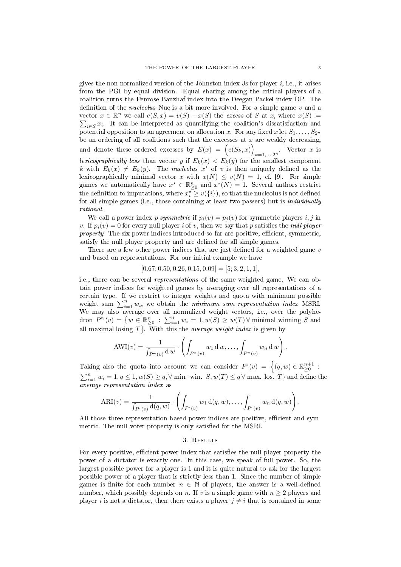gives the non-normalized version of the Johnston index Js for player  $i$ , i.e., it arises from the PGI by equal division. Equal sharing among the critical players of a coalition turns the Penrose-Banzhaf index into the Deegan-Packel index DP. The definition of the *nucleolus* Nuc is a bit more involved. For a simple game  $v$  and a vector  $x \in \mathbb{R}^n$  we call  $e(S, x) = v(S) - x(S)$  the excess of S at x, where  $x(S) :=$  $\sum_{i \in S} x_i$ . It can be interpreted as quantifying the coalition's dissatisfaction and potential opposition to an agreement on allocation x. For any fixed x let  $S_1, \ldots, S_{2^n}$ be an ordering of all coalitions such that the excesses at  $x$  are weakly decreasing, and denote these ordered excesses by  $E(x) = (e(S_k, x))$  $k=1,\ldots,2^n$  Vector x is lexicographically less than vector y if  $E_k(x) < E_k(y)$  for the smallest component k with  $E_k(x) \neq E_k(y)$ . The *nucleolus*  $x^*$  of v is then uniquely defined as the lexicographically minimal vector x with  $x(N) \leq v(N) = 1$ , cf. [9]. For simple games we automatically have  $x^* \in \mathbb{R}_{\geq 0}^n$  and  $x^*(N) = 1$ . Several authors restrict the definition to imputations, where  $x_i^{\star} \geq v(\{i\}),$  so that the nucleolus is not defined for all simple games (i.e., those containing at least two passers) but is individually rational.

We call a power index p symmetric if  $p_i(v) = p_i(v)$  for symmetric players i, j in v. If  $p_i(v) = 0$  for every null player i of v, then we say that p satisfies the null player *property.* The six power indices introduced so far are positive, efficient, symmetric, satisfy the null player property and are defined for all simple games.

There are a few other power indices that are just defined for a weighted game  $v$ and based on representations. For our initial example we have

$$
[0.67; 0.50, 0.26, 0.15, 0.09] = [5; 3, 2, 1, 1],
$$

i.e., there can be several *representations* of the same weighted game. We can obtain power indices for weighted games by averaging over all representations of a certain type. If we restrict to integer weights and quota with minimum possible weight sum  $\sum_{i=1}^n w_i$ , we obtain the *minimum sum representation index* MSRI. We may also average over all normalized weight vectors, i.e., over the polyhedron  $P^{\mathbf{w}}(v) = \{w \in \mathbb{R}_{\geq 0}^n : \sum_{i=1}^n w_i = 1, w(S) \geq w(T) \forall \text{ minimal winning } S \text{ and }$ all maximal losing  $T$ . With this the *average weight index* is given by

$$
AWI(v) = \frac{1}{\int_{P^w(v)} d w} \cdot \left( \int_{P^w(v)} w_1 dw, \dots, \int_{P^w(v)} w_n dw \right).
$$

Taking also the quota into account we can consider  $P^r(v) = \{(q, w) \in \mathbb{R}^{n+1}_{\geq 0} :$  $\sum_{i=1}^{n} w_i = 1, q \leq 1, w(S) \geq q, \forall$  min. win.  $S, w(T) \leq q \forall$  max. los.  $T\}$  and define the average representation index as

$$
ARI(v) = \frac{1}{\int_{P^r(v)} d(q, w)} \cdot \left( \int_{P^r(v)} w_1 d(q, w), \dots, \int_{P^r(v)} w_n d(q, w) \right).
$$

All those three representation based power indices are positive, efficient and symmetric. The null voter property is only satisfied for the MSRI.

## 3. Results

For every positive, efficient power index that satisfies the null player property the power of a dictator is exactly one. In this case, we speak of full power. So, the largest possible power for a player is 1 and it is quite natural to ask for the largest possible power of a player that is strictly less than 1. Since the number of simple games is finite for each number  $n \in \mathbb{N}$  of players, the answer is a well-defined number, which possibly depends on n. If v is a simple game with  $n \geq 2$  players and player i is not a dictator, then there exists a player  $j \neq i$  that is contained in some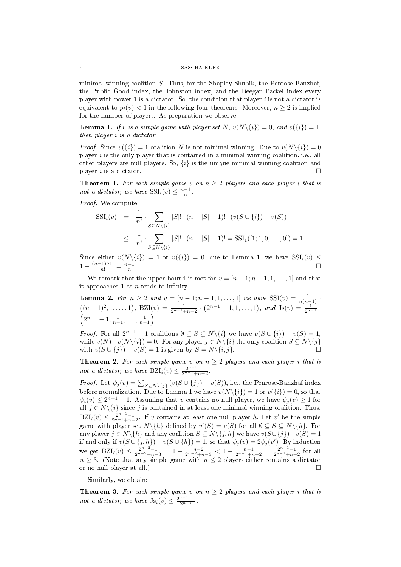### 4 SASCHA KURZ

minimal winning coalition S. Thus, for the Shapley-Shubik, the Penrose-Banzhaf, the Public Good index, the Johnston index, and the Deegan-Packel index every player with power 1 is a dictator. So, the condition that player  $i$  is not a dictator is equivalent to  $p_i(v) < 1$  in the following four theorems. Moreover,  $n \geq 2$  is implied for the number of players. As preparation we observe:

**Lemma 1.** If v is a simple game with player set N,  $v(N\{i\}) = 0$ , and  $v(\{i\}) = 1$ , then player i is a dictator.

*Proof.* Since  $v({i}) = 1$  coalition N is not minimal winning. Due to  $v(N{\{i\}}) = 0$ player  $i$  is the only player that is contained in a minimal winning coalition, i.e., all other players are null players. So,  $\{i\}$  is the unique minimal winning coalition and player i is a dictator.  $\Box$ 

**Theorem 1.** For each simple game v on  $n \geq 2$  players and each player i that is not a dictator, we have  $\text{SSI}_i(v) \leq \frac{n-1}{n}$ .

Proof. We compute

$$
SSI_i(v) = \frac{1}{n!} \cdot \sum_{S \subseteq N \setminus \{i\}} |S|! \cdot (n - |S| - 1)! \cdot (v(S \cup \{i\}) - v(S))
$$
  

$$
\leq \frac{1}{n!} \cdot \sum_{S \subseteq N \setminus \{i\}} |S|! \cdot (n - |S| - 1)! = SSI_1([1; 1, 0, ..., 0]) = 1.
$$

Since either  $v(N\setminus\{i\}) = 1$  or  $v(\{i\}) = 0$ , due to Lemma 1, we have  $\text{SSI}_i(v) \leq$  $1 - \frac{(n-1)! \cdot 1!}{n!} = \frac{n-1}{n}.$ 

We remark that the upper bound is met for  $v = [n-1; n-1, 1, \ldots, 1]$  and that it approaches 1 as  $n$  tends to infinity.

**Lemma 2.** For  $n \ge 2$  and  $v = [n-1; n-1, 1, ..., 1]$  we have  $\text{SSI}(v) = \frac{1}{n(n-1)}$ .  $((n-1)^2, 1, \ldots, 1), \ \text{BZI}(v) = \frac{1}{2^{n-1}+n-2} \cdot (2^{n-1}-1, 1, \ldots, 1), \ \text{and} \ \text{Js}(v) = \frac{1}{2^{n-1}} \cdot$  $\left(2^{n-1}-1, \frac{1}{n-1}, \ldots, \frac{1}{n-1}\right).$ 

*Proof.* For all  $2^{n-1} - 1$  coalitions  $\emptyset \subseteq S \subsetneq N\backslash\{i\}$  we have  $v(S \cup \{i\}) - v(S) = 1$ , while  $v(N)-v(N\setminus\{i\})=0$ . For any player  $j \in N\setminus\{i\}$  the only coalition  $S \subseteq N\setminus\{j\}$ with  $v(S \cup \{j\}) - v(S) = 1$  is given by  $S = N \setminus \{i, j\}.$ 

**Theorem 2.** For each simple game v on  $n \geq 2$  players and each player i that is not a dictator, we have  $\text{BZI}_i(v) \leq \frac{2^{n-1}-1}{2^{n-1}+n-2}$ .

*Proof.* Let  $\psi_j(v) = \sum_{S \subseteq N \setminus \{j\}} (v(S \cup \{j\}) - v(S)),$  i.e., the Penrose-Banzhaf index before normalization. Due to Lemma 1 we have  $v(N\setminus\{i\}) = 1$  or  $v(\{i\}) = 0$ , so that  $\psi_i(v) \leq 2^{n-1} - 1$ . Assuming that v contains no null player, we have  $\psi_j(v) \geq 1$  for all  $j \in N \setminus \{i\}$  since j is contained in at least one minimal winning coalition. Thus,  $BZI_i(v) \leq \frac{2^{n-1}-1}{2^{n-1}+n-2}$ . If v contains at least one null player h. Let v' be the simple game with player set  $N\backslash\{h\}$  defined by  $v'(S) = v(S)$  for all  $\emptyset \subseteq S \subseteq N\backslash\{h\}$ . For any player  $j \in N\backslash\{h\}$  and any coalition  $S \subseteq N\backslash\{j, h\}$  we have  $v(S \cup \{j\})-v(S) = 1$ if and only if  $v(S \cup \{j,h\}) - v(S \cup \{h\}) = 1$ , so that  $\psi_j(v) = 2\psi_j(v')$ . By induction we get  $BZI_i(v) \leq \frac{2^{n-2}-1}{2^{n-2}+n-3} = 1 - \frac{n-2}{2^{n-2}+n-3} < 1 - \frac{n-1}{2^{n-1}+n-2} = \frac{2^{n-1}-1}{2^{n-1}+n-2}$  for all  $n \geq 3$ . (Note that any simple game with  $n \leq 2$  players either contains a dictator or no null player at all.)

Similarly, we obtain:

**Theorem 3.** For each simple game v on  $n \geq 2$  players and each player i that is not a dictator, we have  $\text{Js}_i(v) \leq \frac{2^{n-1}-1}{2^{n-1}}$ .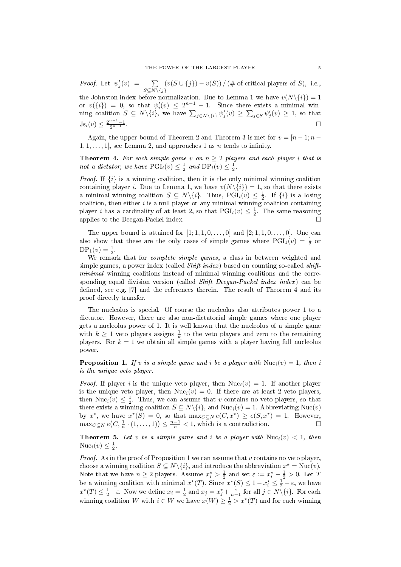*Proof.* Let  $\psi_j'(v) = \sum$  $S\subseteq N\backslash\{j\}$  $(v(S \cup \{j\}) - v(S)) / (\# \text{ of critical players of } S), \text{ i.e.,}$ 

the Johnston index before normalization. Due to Lemma 1 we have  $v(N\setminus\{i\}) = 1$ or  $v(\{i\}) = 0$ , so that  $\psi_i'(v) \leq 2^{n-1} - 1$ . Since there exists a minimal winning coalition  $S \subseteq N \setminus \{i\}$ , we have  $\sum_{j \in N \setminus \{i\}} \psi'_j(v) \ge \sum_{j \in S} \psi'_j(v) \ge 1$ , so that  $\mathrm{Js}_i(v) \leq \frac{2^{n-1}-1}{2^{n-1}}$  $\frac{n-1}{2n-1}$ .

Again, the upper bound of Theorem 2 and Theorem 3 is met for  $v = [n-1; n-1]$  $1, 1, \ldots, 1$ , see Lemma 2, and approaches 1 as *n* tends to infinity.

**Theorem 4.** For each simple game v on  $n \geq 2$  players and each player i that is not a dictator, we have  $\text{PGL}_i(v) \leq \frac{1}{2}$  and  $\text{DP}_i(v) \leq \frac{1}{2}$ .

*Proof.* If  $\{i\}$  is a winning coalition, then it is the only minimal winning coalition containing player i. Due to Lemma 1, we have  $v(N\{i\}) = 1$ , so that there exists a minimal winning coalition  $S \subseteq N \setminus \{i\}$ . Thus,  $\overline{PGI_i(v)} \leq \frac{1}{2}$ . If  $\{i\}$  is a losing coalition, then either  $i$  is a null player or any minimal winning coalition containing player *i* has a cardinality of at least 2, so that  $\text{PGI}_i(v) \leq \frac{1}{2}$ . The same reasoning applies to the Deegan-Packel index.

The upper bound is attained for  $[1; 1, 1, 0, \ldots, 0]$  and  $[2; 1, 1, 0, \ldots, 0]$ . One can also show that these are the only cases of simple games where  $PGI_1(v) = \frac{1}{2}$  or  $DP_1(v) = \frac{1}{2}$ .

We remark that for *complete simple games*, a class in between weighted and simple games, a power index (called *Shift index*) based on counting so-called *shift*minimal winning coalitions instead of minimal winning coalitions and the corresponding equal division version (called Shift Deegan-Packel index index) can be defined, see e.g.  $[7]$  and the references therein. The result of Theorem 4 and its proof directly transfer.

The nucleolus is special. Of course the nucleolus also attributes power 1 to a dictator. However, there are also non-dictatorial simple games where one player gets a nucleolus power of 1. It is well known that the nucleolus of a simple game with  $k \geq 1$  veto players assigns  $\frac{1}{k}$  to the veto players and zero to the remaining players. For  $k = 1$  we obtain all simple games with a player having full nucleolus power.

**Proposition 1.** If v is a simple game and i be a player with  $Nuc_i(v) = 1$ , then i is the unique veto player.

*Proof.* If player i is the unique veto player, then  $Nuc_i(v) = 1$ . If another player is the unique veto player, then  $Nuc_i(v) = 0$ . If there are at least 2 veto players, then Nuc<sub>i</sub> $(v) \leq \frac{1}{2}$ . Thus, we can assume that v contains no veto players, so that there exists a winning coalition  $S \subseteq N \setminus \{i\}$ , and  $Nuc_i(v) = 1$ . Abbreviating  $Nuc(v)$ by  $x^*$ , we have  $x^*(S) = 0$ , so that  $\max_{C \subseteq N} e(C, x^*) \ge e(S, x^*) = 1$ . However,  $\max_{C \subseteq N} e(C, \frac{1}{n} \cdot (1, \dots, 1)) \leq \frac{n-1}{n} < 1$ , which is a contradiction.

**Theorem 5.** Let v be a simple game and i be a player with  $Nuc_i(v) < 1$ , then  $Nuc_i(v) \leq \frac{1}{2}$ .

*Proof.* As in the proof of Proposition 1 we can assume that v contains no veto player, choose a winning coalition  $S \subseteq N \setminus \{i\}$ , and introduce the abbreviation  $x^* = \text{Nuc}(v)$ . Note that we have  $n \geq 2$  players. Assume  $x_i^* > \frac{1}{2}$  and set  $\varepsilon := x_i^* - \frac{1}{2} > 0$ . Let T be a winning coalition with minimal  $x^*(T)$ . Since  $x^*(S) \leq 1 - x_i^* \leq \frac{1}{2} - \varepsilon$ , we have  $x^*(T) \leq \frac{1}{2} - \varepsilon$ . Now we define  $x_i = \frac{1}{2}$  and  $x_j = x_j^* + \frac{\varepsilon}{n-1}$  for all  $j \in N \setminus \{i\}$ . For each winning coalition W with  $i \in W$  we have  $x(W) \geq \frac{1}{2} > x^*(T)$  and for each winning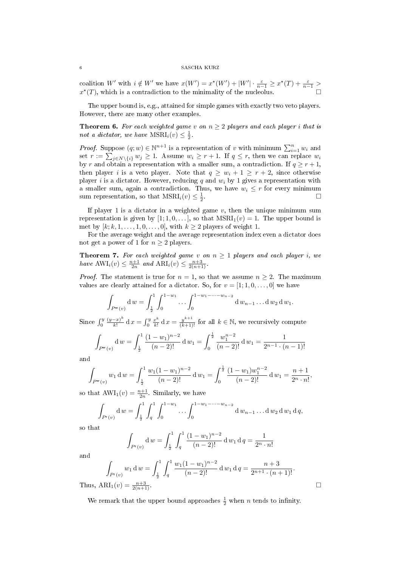### 6 SASCHA KURZ

coalition W' with  $i \notin W'$  we have  $x(W') = x^*(W') + |W'| \cdot \frac{\varepsilon}{n-1} \geq x^*(T) + \frac{\varepsilon}{n-1} >$  $x^*(T)$ , which is a contradiction to the minimality of the nucleolus.

The upper bound is, e.g., attained for simple games with exactly two veto players. However, there are many other examples.

**Theorem 6.** For each weighted game v on  $n \geq 2$  players and each player i that is not a dictator, we have  $\text{MSRI}_i(v) \leq \frac{1}{2}$ .

*Proof.* Suppose  $(q; w) \in \mathbb{N}^{n+1}$  is a representation of v with minimum  $\sum_{i=1}^{n} w_i$  and set  $r := \sum_{j \in N \setminus \{i\}} w_j \ge 1$ . Assume  $w_i \ge r + 1$ . If  $q \le r$ , then we can replace  $w_i$ by r and obtain a representation with a smaller sum, a contradiction. If  $q \geq r+1$ , then player i is a veto player. Note that  $q \geq w_i + 1 \geq r + 2$ , since otherwise player i is a dictator. However, reducing q and  $w_i$  by 1 gives a representation with a smaller sum, again a contradiction. Thus, we have  $w_i \leq r$  for every minimum sum representation, so that  $\text{MSRI}_i(v) \leq \frac{1}{2}$ .

If player 1 is a dictator in a weighted game  $v$ , then the unique minimum sum representation is given by  $[1; 1, 0, \ldots]$ , so that  $MSRI<sub>1</sub>(v) = 1$ . The upper bound is met by  $[k; k, 1, \ldots, 1, 0, \ldots, 0]$ , with  $k \geq 2$  players of weight 1.

For the average weight and the average representation index even a dictator does not get a power of 1 for  $n \geq 2$  players.

**Theorem 7.** For each weighted game v on  $n \ge 1$  players and each player i, we have  $\text{AWI}_i(v) \leq \frac{n+1}{2n}$  and  $\text{ARI}_i(v) \leq \frac{n+3}{2(n+1)}$ .

*Proof.* The statement is true for  $n = 1$ , so that we assume  $n \geq 2$ . The maximum values are clearly attained for a dictator. So, for  $v = [1; 1, 0, \ldots, 0]$  we have

$$
\int_{P^{\mathbf{w}}(v)} \mathrm{d} \, w = \int_{\frac{1}{2}}^{1} \int_{0}^{1-w_1} \dots \int_{0}^{1-w_1-\dots-w_{n-2}} \mathrm{d} \, w_{n-1} \dots \mathrm{d} \, w_2 \, \mathrm{d} \, w_1.
$$

Since  $\int_0^y$  $(y-x)^k$  $\frac{(-x)^k}{k!} \, dx = \int_0^y \frac{x^k}{k!}$  $\frac{x^k}{k!}$  d  $x = \frac{y^{k+1}}{(k+1)!}$  for all  $k \in \mathbb{N}$ , we recursively compute

$$
\int_{P^{\mathbf{w}}(v)} \mathbf{d} \, w = \int_{\frac{1}{2}}^1 \frac{(1 - w_1)^{n-2}}{(n-2)!} \mathbf{d} \, w_1 = \int_0^{\frac{1}{2}} \frac{w_1^{n-2}}{(n-2)!} \mathbf{d} \, w_1 = \frac{1}{2^{n-1} \cdot (n-1)!}
$$

and

$$
\int_{P^{\mathbf{w}}(v)} w_1 \, \mathrm{d} \, w = \int_{\frac{1}{2}}^1 \frac{w_1 (1 - w_1)^{n-2}}{(n-2)!} \, \mathrm{d} \, w_1 = \int_0^{\frac{1}{2}} \frac{(1 - w_1) w_1^{n-2}}{(n-2)!} \, \mathrm{d} \, w_1 = \frac{n+1}{2^n \cdot n!},
$$

so that  $AWI_1(v) = \frac{n+1}{2n}$ . Similarly, we have

$$
\int_{P^r(v)} \mathrm{d} \, w = \int_{\frac{1}{2}}^1 \int_q^1 \int_0^{1-w_1} \dots \int_0^{1-w_1-\dots-w_{n-2}} \mathrm{d} \, w_{n-1} \dots \mathrm{d} \, w_2 \, \mathrm{d} \, w_1 \, \mathrm{d} \, q,
$$

so that

$$
\int_{P^r(v)} \mathrm{d} \, w = \int_{\frac{1}{2}}^1 \int_q^1 \frac{(1 - w_1)^{n-2}}{(n-2)!} \, \mathrm{d} \, w_1 \, \mathrm{d} \, q = \frac{1}{2^n \cdot n!}
$$

and

Thus

$$
\int_{P^r(v)} w_1 \, dw = \int_{\frac{1}{2}}^1 \int_q^1 \frac{w_1 (1 - w_1)^{n-2}}{(n-2)!} \, dw_1 \, dq = \frac{n+3}{2^{n+1} \cdot (n+1)!}.
$$
\n
$$
ARI_1(v) = \frac{n+3}{2(n+1)}.
$$

We remark that the upper bound approaches  $\frac{1}{2}$  when n tends to infinity.